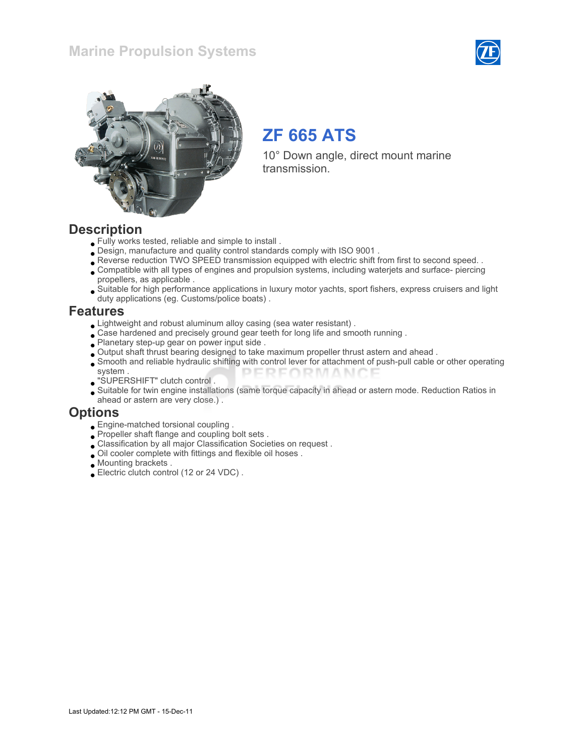## Marine Propulsion Systems





# ZF 665 ATS

10° Down angle, direct mount marine transmission.

### **Description**

- Fully works tested, reliable and simple to install .
- Design, manufacture and quality control standards comply with ISO 9001 .
- Reverse reduction TWO SPEED transmission equipped with electric shift from first to second speed. .
- Compatible with all types of engines and propulsion systems, including waterjets and surface- piercing propellers, as applicable .
- Suitable for high performance applications in luxury motor yachts, sport fishers, express cruisers and light duty applications (eg. Customs/police boats) .

#### Features

- Lightweight and robust aluminum alloy casing (sea water resistant) .
- Case hardened and precisely ground gear teeth for long life and smooth running.
- Planetary step-up gear on power input side .
- Output shaft thrust bearing designed to take maximum propeller thrust astern and ahead .
- Smooth and reliable hydraulic shifting with control lever for attachment of push-pull cable or other operating system . PERFORMAN
- "SUPERSHIFT" clutch control .
- Suitable for twin engine installations (same torque capacity in ahead or astern mode. Reduction Ratios in ahead or astern are very close.) .

### **Options**

- Engine-matched torsional coupling .
- Propeller shaft flange and coupling bolt sets .
- Classification by all major Classification Societies on request .
- Oil cooler complete with fittings and flexible oil hoses .
- Mounting brackets .
- Electric clutch control (12 or 24 VDC) .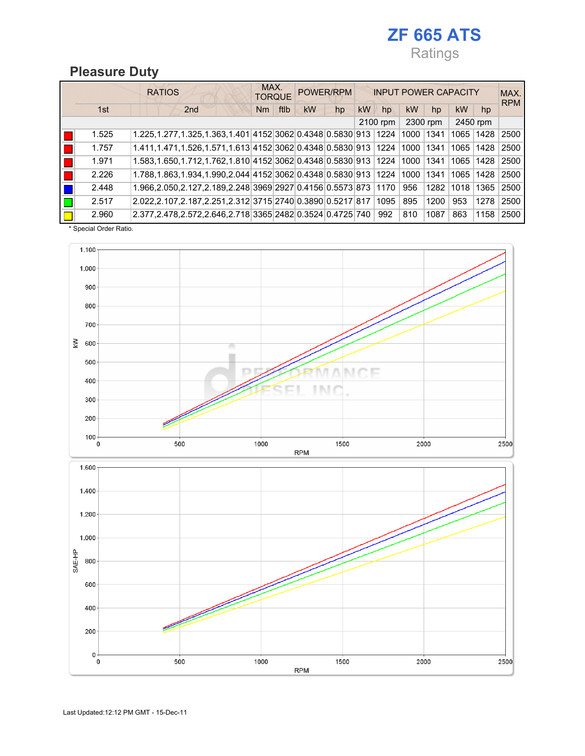# ZF 665 ATS Ratings

2500

## Pleasure Duty

|       | <b>RATIOS</b>                                                      | MAX.<br><b>TORQUE</b> |      |    | POWER/RPM |    |          |      | <b>INPUT POWER CAPACITY</b> |           |          | MAX.<br><b>RPM</b> |
|-------|--------------------------------------------------------------------|-----------------------|------|----|-----------|----|----------|------|-----------------------------|-----------|----------|--------------------|
| 1st   | 2 <sub>nd</sub>                                                    | Nm                    | ftlb | kW | hp        | kW | hp       | kW   | hp                          | <b>kW</b> | hp       |                    |
|       |                                                                    |                       |      |    |           |    | 2100 rpm |      | 2300 rpm                    |           | 2450 rpm |                    |
| 1.525 | 1.225, 1.277, 1.325, 1.363, 1.401 4152 3062 0.4348 0.5830 913 1224 |                       |      |    |           |    |          | 1000 | 1341                        | 1065      | 1428     | 2500               |
| 1.757 | 1.411, 1.471, 1.526, 1.571, 1.613 4152 3062 0.4348 0.5830 913 1224 |                       |      |    |           |    |          | 1000 | 1341                        | 1065      | 1428     | 2500               |
| 1.971 | 1.583,1.650,1.712,1.762,1.810 4152 3062 0.4348 0.5830 913 1224     |                       |      |    |           |    |          | 1000 | 1341                        | 1065      | 1428     | 2500               |
| 2.226 | 1.788,1.863,1.934,1.990,2.044 4152 3062 0.4348 0.5830 913 1224     |                       |      |    |           |    |          | 1000 | 1341                        | 1065      | 1428     | 2500               |
| 2.448 | 1.966,2.050,2.127,2.189,2.248 3969 2927 0.4156 0.5573 873 1170     |                       |      |    |           |    |          | 956  | 1282                        | 1018      | 1365     | 2500               |
| 2.517 | 2.022,2.107,2.187,2.251,2.312 3715 2740 0.3890 0.5217 817          |                       |      |    |           |    | 1095     | 895  | 1200                        | 953       | 1278     | 2500               |
| 2.960 | 2.377, 2.478, 2.572, 2.646, 2.718 3365 2482 0.3524 0.4725 740      |                       |      |    |           |    | 992      | 810  | 1087                        | 863       | 1158     | 2500               |

\* Special Order Ratio.



 $1000$ 

**RPM** 

1500

2000

500

 $\pmb{0}$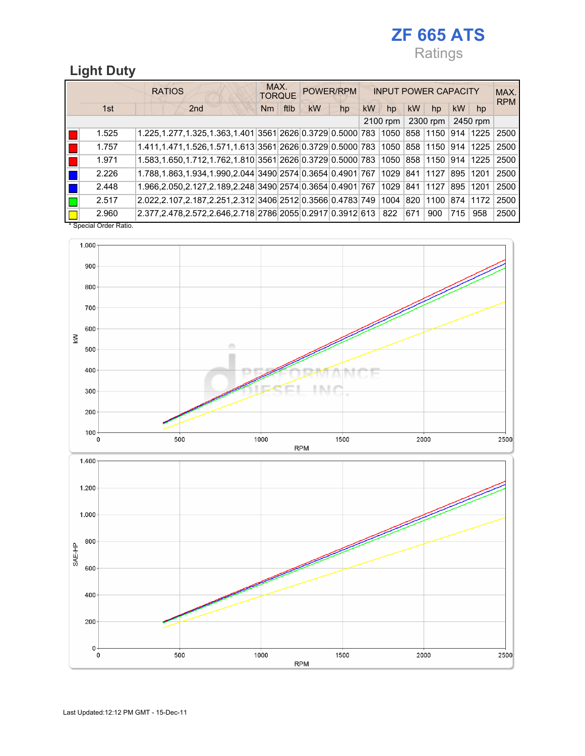# ZF 665 ATS Ratings

# Light Duty

|       | <b>RATIOS</b>                                                                    | MAX.<br><b>TORQUE</b> |      |    | POWER/RPM |           | <b>INPUT POWER CAPACITY</b> |     |          |     |          | MAX.<br><b>RPM</b> |
|-------|----------------------------------------------------------------------------------|-----------------------|------|----|-----------|-----------|-----------------------------|-----|----------|-----|----------|--------------------|
| 1st   | 2 <sub>nd</sub>                                                                  | Nm                    | ftlb | kW | hp        | <b>kW</b> | hp                          | kW  | hp       | kW  | hp       |                    |
|       |                                                                                  |                       |      |    |           |           | 2100 rpm                    |     | 2300 rpm |     | 2450 rpm |                    |
| 1.525 | 1.225,1.277,1.325,1.363,1.401 3561 2626 0.3729 0.5000 783 1050 858 1150          |                       |      |    |           |           |                             |     |          |     | 914 1225 | 2500               |
| 1.757 | 1.411,1.471,1.526,1.571,1.613 3561 2626 0.3729 0.5000 783 1050 858 1150          |                       |      |    |           |           |                             |     |          | 914 | 1225     | 2500               |
| 1.971 | 1.583,1.650,1.712,1.762,1.810 3561 2626 0.3729 0.5000 783 1050 858 1150 914 1225 |                       |      |    |           |           |                             |     |          |     |          | 2500               |
| 2.226 | 1.788,1.863,1.934,1.990,2.044 3490 2574 0.3654 0.4901 767 1029 841 1127          |                       |      |    |           |           |                             |     |          | 895 | 1201     | 2500               |
| 2.448 | 1.966,2.050,2.127,2.189,2.248 3490 2574 0.3654 0.4901 767 1029 841 1127          |                       |      |    |           |           |                             |     |          | 895 | 11201    | 2500               |
| 2.517 | 2.022,2.107,2.187,2.251,2.312 3406 2512 0.3566 0.4783 749 1004 820 1100 874 1172 |                       |      |    |           |           |                             |     |          |     |          | 2500               |
| 2.960 | 2.377,2.478,2.572,2.646,2.718 2786 2055 0.2917 0.3912 613 822                    |                       |      |    |           |           |                             | 671 | 900      | 715 | 958      | 2500               |

\* Special Order Ratio.



![](_page_2_Figure_5.jpeg)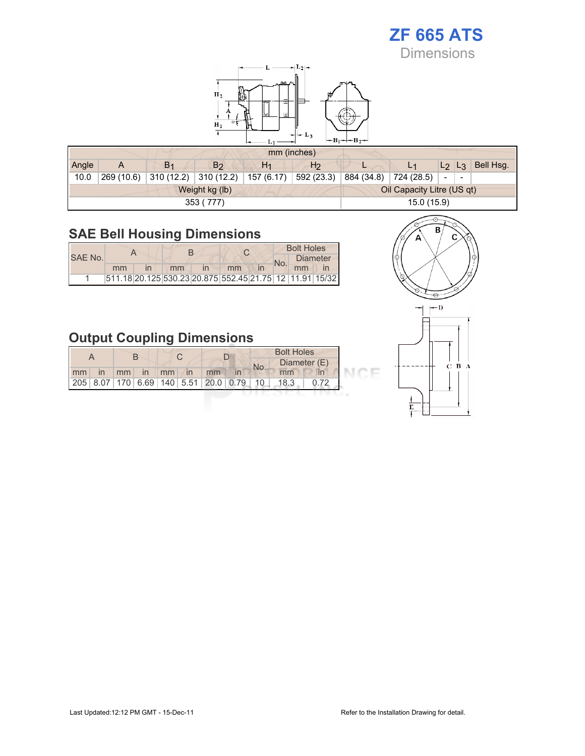# ZF 665 ATS

**Dimensions** 

![](_page_3_Figure_2.jpeg)

|       |            |                |                | mm (inches)    |                |            |                            |                                                      |           |
|-------|------------|----------------|----------------|----------------|----------------|------------|----------------------------|------------------------------------------------------|-----------|
| Angle |            | B <sub>1</sub> | B <sub>2</sub> | H <sub>1</sub> | H <sub>2</sub> |            |                            | $L_2$ $L_3$                                          | Bell Hsg. |
| 10.0  | 269 (10.6) | 310(12.2)      | 310(12.2)      | 157 (6.17)     | 592 (23.3)     | 884 (34.8) | 724 (28.5)                 | $\overline{\phantom{0}}$<br>$\overline{\phantom{a}}$ |           |
|       |            |                | Weight kg (lb) |                |                |            | Oil Capacity Litre (US qt) |                                                      |           |
|       |            |                | 353 (777)      |                |                |            | 15.0 (15.9)                |                                                      |           |

# SAE Bell Housing Dimensions

|         |    |    |              |                                                         |  | <b>Bolt Holes</b> |                 |
|---------|----|----|--------------|---------------------------------------------------------|--|-------------------|-----------------|
| SAE No. |    |    |              |                                                         |  |                   | <b>Diameter</b> |
|         | mm | mm | $\mathsf{I}$ | mm                                                      |  | mm                |                 |
|         |    |    |              | 511.18 20.125 530.23 20.875 552.45 21.75 12 11.91 15/32 |  |                   |                 |

# Output Coupling Dimensions

|    |              |    |    |                   |    |                                      | <b>Bolt Holes</b> |      |              |  |
|----|--------------|----|----|-------------------|----|--------------------------------------|-------------------|------|--------------|--|
|    |              |    |    |                   |    |                                      | No.               |      | Diameter (E) |  |
| mm | $\mathsf{I}$ | mm | in | $\blacksquare$ mm | In | mm                                   |                   | mm   |              |  |
|    |              |    |    |                   |    | 205 8.07 170 6.69 140 5.51 20.0 0.79 | 10                | 18.3 |              |  |

![](_page_3_Figure_8.jpeg)

![](_page_3_Figure_9.jpeg)

CE